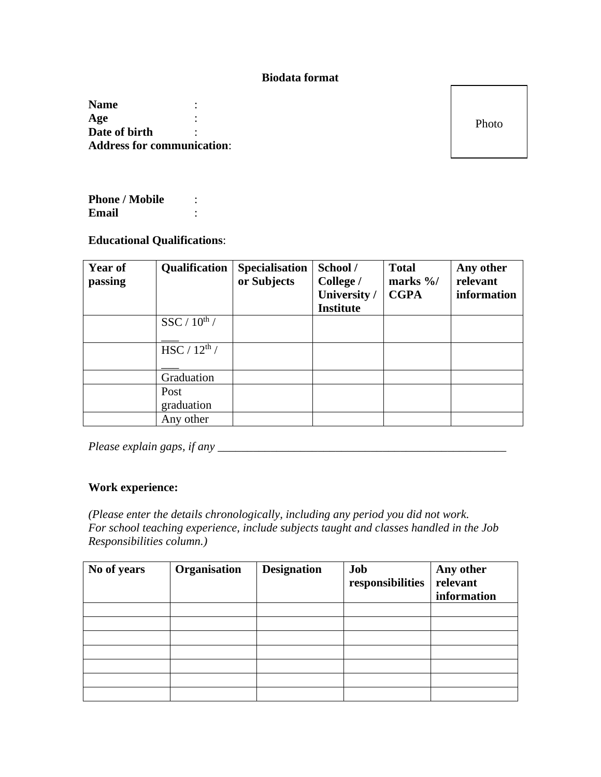## **Biodata format**

**Name** : **Age** : **Date of birth** : **Address for communication**:

Photo

Phone / Mobile : **Email** :

## **Educational Qualifications**:

| Year of<br>passing | Qualification            | <b>Specialisation</b><br>or Subjects | School /<br>College /<br>University /<br><b>Institute</b> | <b>Total</b><br>marks $\frac{9}{6}$<br><b>CGPA</b> | Any other<br>relevant<br>information |
|--------------------|--------------------------|--------------------------------------|-----------------------------------------------------------|----------------------------------------------------|--------------------------------------|
|                    | $SSC / 10^{th} /$        |                                      |                                                           |                                                    |                                      |
|                    | HSC / 12 <sup>th</sup> / |                                      |                                                           |                                                    |                                      |
|                    | Graduation               |                                      |                                                           |                                                    |                                      |
|                    | Post<br>graduation       |                                      |                                                           |                                                    |                                      |
|                    | Any other                |                                      |                                                           |                                                    |                                      |

*Please explain gaps, if any* \_\_\_\_\_\_\_\_\_\_\_\_\_\_\_\_\_\_\_\_\_\_\_\_\_\_\_\_\_\_\_\_\_\_\_\_\_\_\_\_\_\_\_\_\_\_\_\_\_

## **Work experience:**

*(Please enter the details chronologically, including any period you did not work. For school teaching experience, include subjects taught and classes handled in the Job Responsibilities column.)*

| No of years | Organisation | <b>Designation</b> | Job<br>responsibilities | Any other<br>relevant<br>information |
|-------------|--------------|--------------------|-------------------------|--------------------------------------|
|             |              |                    |                         |                                      |
|             |              |                    |                         |                                      |
|             |              |                    |                         |                                      |
|             |              |                    |                         |                                      |
|             |              |                    |                         |                                      |
|             |              |                    |                         |                                      |
|             |              |                    |                         |                                      |